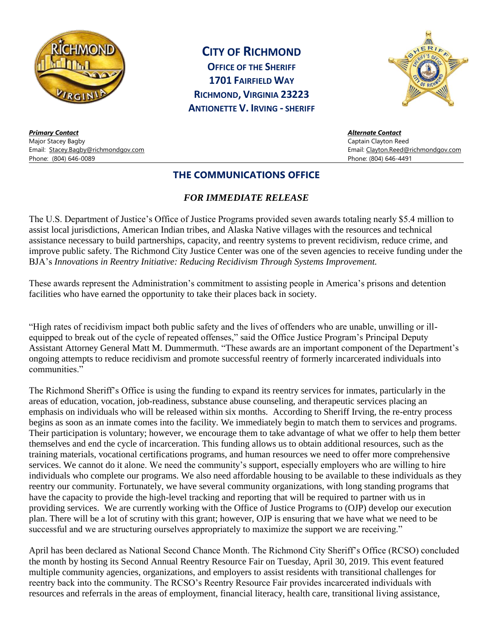

**CITY OF RICHMOND**

**OFFICE OF THE SHERIFF 1701 FAIRFIELD WAY RICHMOND, VIRGINIA 23223 ANTIONETTE V. IRVING - SHERIFF**



*Primary Contact Alternate Contact* Major Stacey Bagby Captain Clayton Reed Email: [Stacey.Bagby@richmondgov.com](mailto:Stacey.Bagby@richmondgov.com) Email: [Clayton.Reed@richmondgov.com](mailto:Clayton.Reed@richmondgov.com) Phone: (804) 646-0089 Phone: (804) 646-4491

## **THE COMMUNICATIONS OFFICE**

## *FOR IMMEDIATE RELEASE*

The U.S. Department of Justice's Office of Justice Programs provided seven awards totaling nearly \$5.4 million to assist local jurisdictions, American Indian tribes, and Alaska Native villages with the resources and technical assistance necessary to build partnerships, capacity, and reentry systems to prevent recidivism, reduce crime, and improve public safety. The Richmond City Justice Center was one of the seven agencies to receive funding under the BJA's *Innovations in Reentry Initiative: Reducing Recidivism Through Systems Improvement.* 

These awards represent the Administration's commitment to assisting people in America's prisons and detention facilities who have earned the opportunity to take their places back in society.

"High rates of recidivism impact both public safety and the lives of offenders who are unable, unwilling or illequipped to break out of the cycle of repeated offenses," said the Office Justice Program's Principal Deputy Assistant Attorney General Matt M. Dummermuth. "These awards are an important component of the Department's ongoing attempts to reduce recidivism and promote successful reentry of formerly incarcerated individuals into communities."

The Richmond Sheriff's Office is using the funding to expand its reentry services for inmates, particularly in the areas of education, vocation, job-readiness, substance abuse counseling, and therapeutic services placing an emphasis on individuals who will be released within six months. According to Sheriff Irving, the re-entry process begins as soon as an inmate comes into the facility. We immediately begin to match them to services and programs. Their participation is voluntary; however, we encourage them to take advantage of what we offer to help them better themselves and end the cycle of incarceration. This funding allows us to obtain additional resources, such as the training materials, vocational certifications programs, and human resources we need to offer more comprehensive services. We cannot do it alone. We need the community's support, especially employers who are willing to hire individuals who complete our programs. We also need affordable housing to be available to these individuals as they reentry our community. Fortunately, we have several community organizations, with long standing programs that have the capacity to provide the high-level tracking and reporting that will be required to partner with us in providing services. We are currently working with the Office of Justice Programs to (OJP) develop our execution plan. There will be a lot of scrutiny with this grant; however, OJP is ensuring that we have what we need to be successful and we are structuring ourselves appropriately to maximize the support we are receiving."

April has been declared as National Second Chance Month. The Richmond City Sheriff's Office (RCSO) concluded the month by hosting its Second Annual Reentry Resource Fair on Tuesday, April 30, 2019. This event featured multiple community agencies, organizations, and employers to assist residents with transitional challenges for reentry back into the community. The RCSO's Reentry Resource Fair provides incarcerated individuals with resources and referrals in the areas of employment, financial literacy, health care, transitional living assistance,